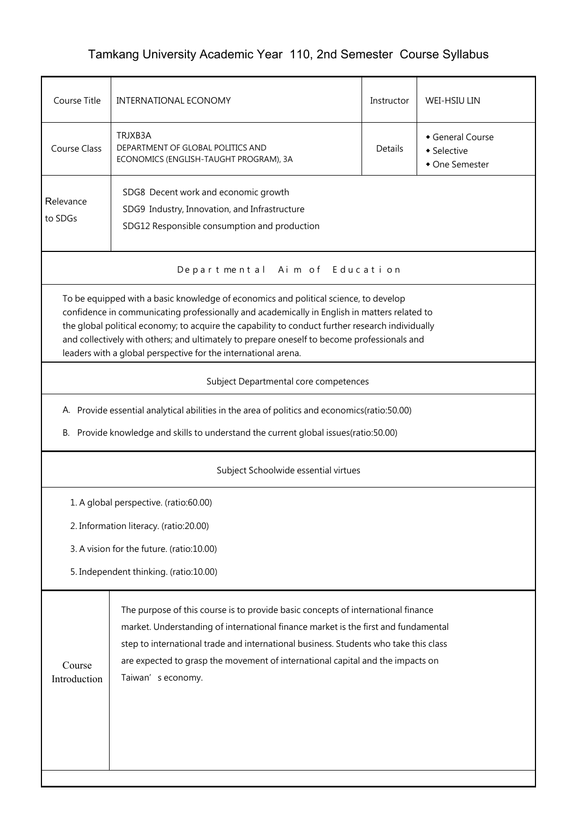## Tamkang University Academic Year 110, 2nd Semester Course Syllabus

| Course Title                                                                                                                                                                                                                                                                                                                                                                                                                                              | INTERNATIONAL ECONOMY                                                                                                                                                                                                                                                                                                                                                 | Instructor | <b>WEI-HSIU LIN</b> |  |  |  |  |
|-----------------------------------------------------------------------------------------------------------------------------------------------------------------------------------------------------------------------------------------------------------------------------------------------------------------------------------------------------------------------------------------------------------------------------------------------------------|-----------------------------------------------------------------------------------------------------------------------------------------------------------------------------------------------------------------------------------------------------------------------------------------------------------------------------------------------------------------------|------------|---------------------|--|--|--|--|
| <b>Course Class</b>                                                                                                                                                                                                                                                                                                                                                                                                                                       | TRJXB3A<br>General Course<br>DEPARTMENT OF GLOBAL POLITICS AND<br><b>Details</b><br>• Selective<br>ECONOMICS (ENGLISH-TAUGHT PROGRAM), 3A<br>• One Semester                                                                                                                                                                                                           |            |                     |  |  |  |  |
| Relevance<br>to SDGs                                                                                                                                                                                                                                                                                                                                                                                                                                      | SDG8 Decent work and economic growth<br>SDG9 Industry, Innovation, and Infrastructure<br>SDG12 Responsible consumption and production                                                                                                                                                                                                                                 |            |                     |  |  |  |  |
| Departmental Aim of Education                                                                                                                                                                                                                                                                                                                                                                                                                             |                                                                                                                                                                                                                                                                                                                                                                       |            |                     |  |  |  |  |
| To be equipped with a basic knowledge of economics and political science, to develop<br>confidence in communicating professionally and academically in English in matters related to<br>the global political economy; to acquire the capability to conduct further research individually<br>and collectively with others; and ultimately to prepare oneself to become professionals and<br>leaders with a global perspective for the international arena. |                                                                                                                                                                                                                                                                                                                                                                       |            |                     |  |  |  |  |
| Subject Departmental core competences                                                                                                                                                                                                                                                                                                                                                                                                                     |                                                                                                                                                                                                                                                                                                                                                                       |            |                     |  |  |  |  |
|                                                                                                                                                                                                                                                                                                                                                                                                                                                           | A. Provide essential analytical abilities in the area of politics and economics(ratio:50.00)                                                                                                                                                                                                                                                                          |            |                     |  |  |  |  |
| В.                                                                                                                                                                                                                                                                                                                                                                                                                                                        | Provide knowledge and skills to understand the current global issues(ratio:50.00)                                                                                                                                                                                                                                                                                     |            |                     |  |  |  |  |
| Subject Schoolwide essential virtues                                                                                                                                                                                                                                                                                                                                                                                                                      |                                                                                                                                                                                                                                                                                                                                                                       |            |                     |  |  |  |  |
|                                                                                                                                                                                                                                                                                                                                                                                                                                                           | 1. A global perspective. (ratio:60.00)                                                                                                                                                                                                                                                                                                                                |            |                     |  |  |  |  |
| 2. Information literacy. (ratio:20.00)                                                                                                                                                                                                                                                                                                                                                                                                                    |                                                                                                                                                                                                                                                                                                                                                                       |            |                     |  |  |  |  |
| 3. A vision for the future. (ratio:10.00)                                                                                                                                                                                                                                                                                                                                                                                                                 |                                                                                                                                                                                                                                                                                                                                                                       |            |                     |  |  |  |  |
|                                                                                                                                                                                                                                                                                                                                                                                                                                                           | 5. Independent thinking. (ratio:10.00)                                                                                                                                                                                                                                                                                                                                |            |                     |  |  |  |  |
| Course<br>Introduction                                                                                                                                                                                                                                                                                                                                                                                                                                    | The purpose of this course is to provide basic concepts of international finance<br>market. Understanding of international finance market is the first and fundamental<br>step to international trade and international business. Students who take this class<br>are expected to grasp the movement of international capital and the impacts on<br>Taiwan's economy. |            |                     |  |  |  |  |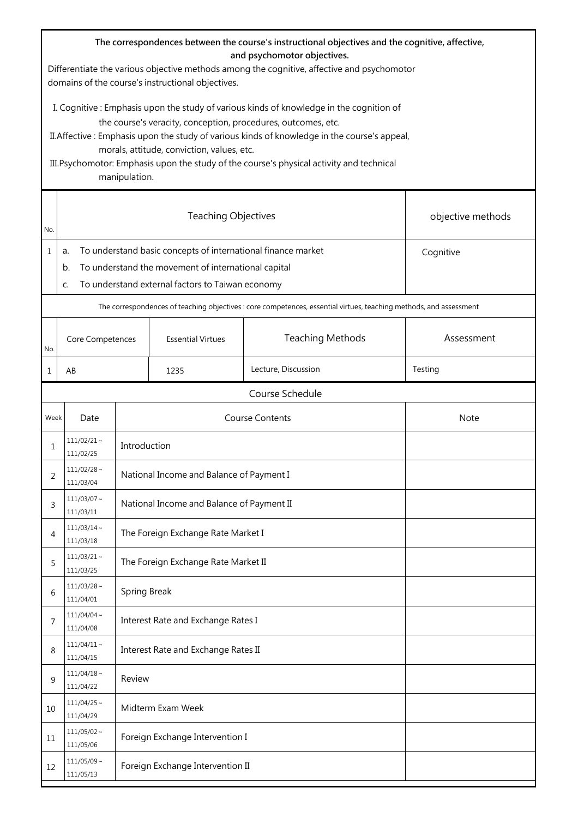| The correspondences between the course's instructional objectives and the cognitive, affective,<br>and psychomotor objectives.<br>Differentiate the various objective methods among the cognitive, affective and psychomotor<br>domains of the course's instructional objectives.                                                                                                                                      |                                                                                                                                                                                                        |                                  |                                           |                         |            |  |  |
|------------------------------------------------------------------------------------------------------------------------------------------------------------------------------------------------------------------------------------------------------------------------------------------------------------------------------------------------------------------------------------------------------------------------|--------------------------------------------------------------------------------------------------------------------------------------------------------------------------------------------------------|----------------------------------|-------------------------------------------|-------------------------|------------|--|--|
| I. Cognitive : Emphasis upon the study of various kinds of knowledge in the cognition of<br>the course's veracity, conception, procedures, outcomes, etc.<br>II. Affective : Emphasis upon the study of various kinds of knowledge in the course's appeal,<br>morals, attitude, conviction, values, etc.<br>III. Psychomotor: Emphasis upon the study of the course's physical activity and technical<br>manipulation. |                                                                                                                                                                                                        |                                  |                                           |                         |            |  |  |
| No.                                                                                                                                                                                                                                                                                                                                                                                                                    |                                                                                                                                                                                                        |                                  | objective methods                         |                         |            |  |  |
| 1                                                                                                                                                                                                                                                                                                                                                                                                                      | To understand basic concepts of international finance market<br>Cognitive<br>a.<br>To understand the movement of international capital<br>b.<br>To understand external factors to Taiwan economy<br>C. |                                  |                                           |                         |            |  |  |
|                                                                                                                                                                                                                                                                                                                                                                                                                        | The correspondences of teaching objectives : core competences, essential virtues, teaching methods, and assessment                                                                                     |                                  |                                           |                         |            |  |  |
| No.                                                                                                                                                                                                                                                                                                                                                                                                                    | Core Competences                                                                                                                                                                                       |                                  | <b>Essential Virtues</b>                  | <b>Teaching Methods</b> | Assessment |  |  |
| 1                                                                                                                                                                                                                                                                                                                                                                                                                      | AB                                                                                                                                                                                                     |                                  | 1235                                      | Lecture, Discussion     | Testing    |  |  |
|                                                                                                                                                                                                                                                                                                                                                                                                                        |                                                                                                                                                                                                        |                                  |                                           | Course Schedule         |            |  |  |
| Week                                                                                                                                                                                                                                                                                                                                                                                                                   | <b>Course Contents</b><br>Date                                                                                                                                                                         |                                  |                                           | <b>Note</b>             |            |  |  |
| 1                                                                                                                                                                                                                                                                                                                                                                                                                      | $111/02/21 \sim$<br>111/02/25                                                                                                                                                                          |                                  | Introduction                              |                         |            |  |  |
| 2                                                                                                                                                                                                                                                                                                                                                                                                                      | $111/02/28 \sim$<br>111/03/04                                                                                                                                                                          |                                  | National Income and Balance of Payment I  |                         |            |  |  |
| 3                                                                                                                                                                                                                                                                                                                                                                                                                      | $111/03/07$ ~<br>111/03/11                                                                                                                                                                             |                                  | National Income and Balance of Payment II |                         |            |  |  |
| 4                                                                                                                                                                                                                                                                                                                                                                                                                      | $111/03/14$ ~<br>111/03/18                                                                                                                                                                             |                                  | The Foreign Exchange Rate Market I        |                         |            |  |  |
| 5                                                                                                                                                                                                                                                                                                                                                                                                                      | $111/03/21$ ~<br>111/03/25                                                                                                                                                                             |                                  | The Foreign Exchange Rate Market II       |                         |            |  |  |
| 6                                                                                                                                                                                                                                                                                                                                                                                                                      | $111/03/28$ ~<br>111/04/01                                                                                                                                                                             |                                  | Spring Break                              |                         |            |  |  |
| 7                                                                                                                                                                                                                                                                                                                                                                                                                      | $111/04/04 \sim$<br>111/04/08                                                                                                                                                                          |                                  | Interest Rate and Exchange Rates I        |                         |            |  |  |
| 8                                                                                                                                                                                                                                                                                                                                                                                                                      | $111/04/11 \sim$<br>111/04/15                                                                                                                                                                          |                                  | Interest Rate and Exchange Rates II       |                         |            |  |  |
| 9                                                                                                                                                                                                                                                                                                                                                                                                                      | $111/04/18$ ~<br>111/04/22                                                                                                                                                                             |                                  | Review                                    |                         |            |  |  |
| 10                                                                                                                                                                                                                                                                                                                                                                                                                     | $111/04/25$ ~<br>111/04/29                                                                                                                                                                             | Midterm Exam Week                |                                           |                         |            |  |  |
| 11                                                                                                                                                                                                                                                                                                                                                                                                                     | $111/05/02$ ~<br>111/05/06                                                                                                                                                                             | Foreign Exchange Intervention I  |                                           |                         |            |  |  |
| 12                                                                                                                                                                                                                                                                                                                                                                                                                     | $111/05/09 \sim$<br>111/05/13                                                                                                                                                                          | Foreign Exchange Intervention II |                                           |                         |            |  |  |